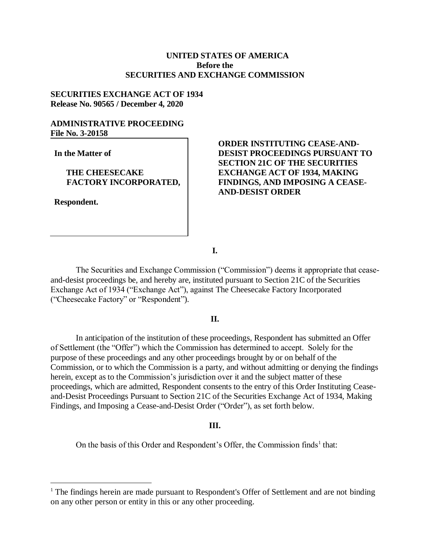# **UNITED STATES OF AMERICA Before the SECURITIES AND EXCHANGE COMMISSION**

# **SECURITIES EXCHANGE ACT OF 1934 Release No. 90565 / December 4, 2020**

# **ADMINISTRATIVE PROCEEDING File No. 3-20158**

**In the Matter of**

### **THE CHEESECAKE FACTORY INCORPORATED,**

**Respondent.**

 $\overline{a}$ 

# **ORDER INSTITUTING CEASE-AND-DESIST PROCEEDINGS PURSUANT TO SECTION 21C OF THE SECURITIES EXCHANGE ACT OF 1934, MAKING FINDINGS, AND IMPOSING A CEASE-AND-DESIST ORDER**

**I.**

The Securities and Exchange Commission ("Commission") deems it appropriate that ceaseand-desist proceedings be, and hereby are, instituted pursuant to Section 21C of the Securities Exchange Act of 1934 ("Exchange Act"), against The Cheesecake Factory Incorporated ("Cheesecake Factory" or "Respondent").

### **II.**

In anticipation of the institution of these proceedings, Respondent has submitted an Offer of Settlement (the "Offer") which the Commission has determined to accept. Solely for the purpose of these proceedings and any other proceedings brought by or on behalf of the Commission, or to which the Commission is a party, and without admitting or denying the findings herein, except as to the Commission's jurisdiction over it and the subject matter of these proceedings, which are admitted, Respondent consents to the entry of this Order Instituting Ceaseand-Desist Proceedings Pursuant to Section 21C of the Securities Exchange Act of 1934, Making Findings, and Imposing a Cease-and-Desist Order ("Order"), as set forth below.

#### **III.**

On the basis of this Order and Respondent's Offer, the Commission finds<sup>1</sup> that:

<sup>&</sup>lt;sup>1</sup> The findings herein are made pursuant to Respondent's Offer of Settlement and are not binding on any other person or entity in this or any other proceeding.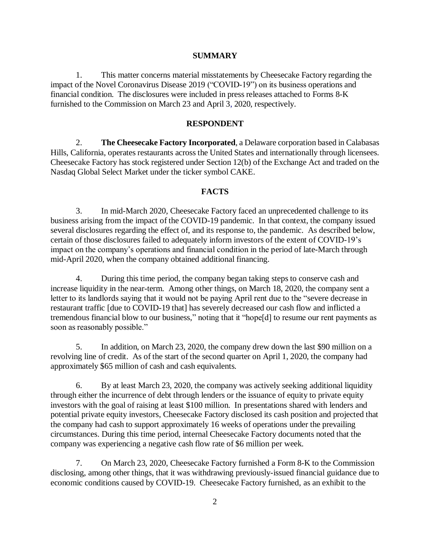#### **SUMMARY**

1. This matter concerns material misstatements by Cheesecake Factory regarding the impact of the Novel Coronavirus Disease 2019 ("COVID-19") on its business operations and financial condition. The disclosures were included in press releases attached to Forms 8-K furnished to the Commission on March 23 and April 3, 2020, respectively.

### **RESPONDENT**

2. **The Cheesecake Factory Incorporated**, a Delaware corporation based in Calabasas Hills, California, operates restaurants across the United States and internationally through licensees. Cheesecake Factory has stock registered under Section 12(b) of the Exchange Act and traded on the Nasdaq Global Select Market under the ticker symbol CAKE.

### **FACTS**

3. In mid-March 2020, Cheesecake Factory faced an unprecedented challenge to its business arising from the impact of the COVID-19 pandemic. In that context, the company issued several disclosures regarding the effect of, and its response to, the pandemic. As described below, certain of those disclosures failed to adequately inform investors of the extent of COVID-19's impact on the company's operations and financial condition in the period of late-March through mid-April 2020, when the company obtained additional financing.

4. During this time period, the company began taking steps to conserve cash and increase liquidity in the near-term. Among other things, on March 18, 2020, the company sent a letter to its landlords saying that it would not be paying April rent due to the "severe decrease in restaurant traffic [due to COVID-19 that] has severely decreased our cash flow and inflicted a tremendous financial blow to our business," noting that it "hope[d] to resume our rent payments as soon as reasonably possible."

5. In addition, on March 23, 2020, the company drew down the last \$90 million on a revolving line of credit. As of the start of the second quarter on April 1, 2020, the company had approximately \$65 million of cash and cash equivalents.

6. By at least March 23, 2020, the company was actively seeking additional liquidity through either the incurrence of debt through lenders or the issuance of equity to private equity investors with the goal of raising at least \$100 million. In presentations shared with lenders and potential private equity investors, Cheesecake Factory disclosed its cash position and projected that the company had cash to support approximately 16 weeks of operations under the prevailing circumstances. During this time period, internal Cheesecake Factory documents noted that the company was experiencing a negative cash flow rate of \$6 million per week.

7. On March 23, 2020, Cheesecake Factory furnished a Form 8-K to the Commission disclosing, among other things, that it was withdrawing previously-issued financial guidance due to economic conditions caused by COVID-19. Cheesecake Factory furnished, as an exhibit to the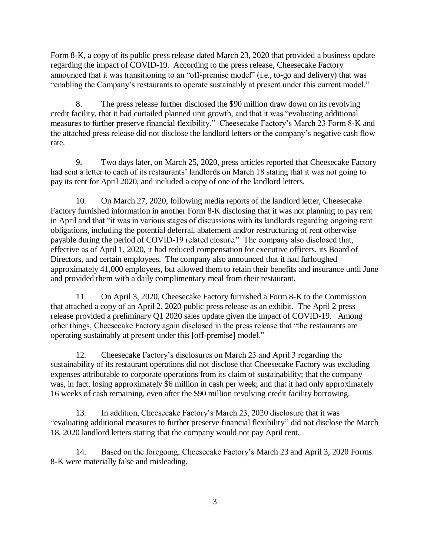Form 8-K, a copy of its public press release dated March 23, 2020 that provided a business update regarding the impact of COVID-19. According to the press release, Cheesecake Factory announced that it was transitioning to an "off-premise model" (i.e., to-go and delivery) that was "enabling the Company's restaurants to operate sustainably at present under this current model."

8. The press release further disclosed the \$90 million draw down on its revolving credit facility, that it had curtailed planned unit growth, and that it was "evaluating additional measures to further preserve financial flexibility." Cheesecake Factory's March 23 Form 8-K and the attached press release did not disclose the landlord letters or the company's negative cash flow rate.

9. Two days later, on March 25, 2020, press articles reported that Cheesecake Factory had sent a letter to each of its restaurants' landlords on March 18 stating that it was not going to pay its rent for April 2020, and included a copy of one of the landlord letters.

10. On March 27, 2020, following media reports of the landlord letter, Cheesecake Factory furnished information in another Form 8-K disclosing that it was not planning to pay rent in April and that "it was in various stages of discussions with its landlords regarding ongoing rent obligations, including the potential deferral, abatement and/or restructuring of rent otherwise payable during the period of COVID-19 related closure." The company also disclosed that, effective as of April 1, 2020, it had reduced compensation for executive officers, its Board of Directors, and certain employees. The company also announced that it had furloughed approximately 41,000 employees, but allowed them to retain their benefits and insurance until June and provided them with a daily complimentary meal from their restaurant.

11. On April 3, 2020, Cheesecake Factory furnished a Form 8-K to the Commission that attached a copy of an April 2, 2020 public press release as an exhibit. The April 2 press release provided a preliminary Q1 2020 sales update given the impact of COVID-19. Among other things, Cheesecake Factory again disclosed in the press release that "the restaurants are operating sustainably at present under this [off-premise] model."

12. Cheesecake Factory's disclosures on March 23 and April 3 regarding the sustainability of its restaurant operations did not disclose that Cheesecake Factory was excluding expenses attributable to corporate operations from its claim of sustainability; that the company was, in fact, losing approximately \$6 million in cash per week; and that it had only approximately 16 weeks of cash remaining, even after the \$90 million revolving credit facility borrowing.

13. In addition, Cheesecake Factory's March 23, 2020 disclosure that it was "evaluating additional measures to further preserve financial flexibility" did not disclose the March 18, 2020 landlord letters stating that the company would not pay April rent.

14. Based on the foregoing, Cheesecake Factory's March 23 and April 3, 2020 Forms 8-K were materially false and misleading.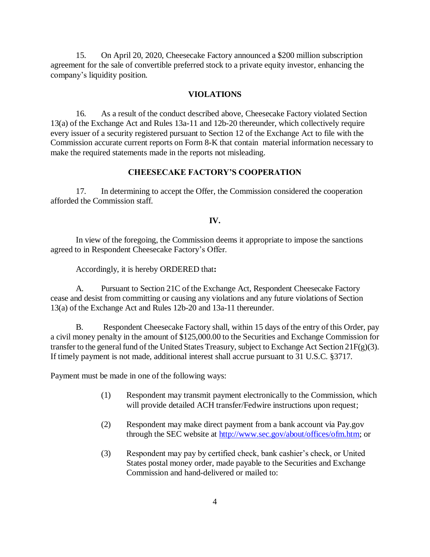15. On April 20, 2020, Cheesecake Factory announced a \$200 million subscription agreement for the sale of convertible preferred stock to a private equity investor, enhancing the company's liquidity position.

### **VIOLATIONS**

16. As a result of the conduct described above, Cheesecake Factory violated Section 13(a) of the Exchange Act and Rules 13a-11 and 12b-20 thereunder, which collectively require every issuer of a security registered pursuant to Section 12 of the Exchange Act to file with the Commission accurate current reports on Form 8-K that contain material information necessary to make the required statements made in the reports not misleading.

# **CHEESECAKE FACTORY'S COOPERATION**

17. In determining to accept the Offer, the Commission considered the cooperation afforded the Commission staff.

### **IV.**

In view of the foregoing, the Commission deems it appropriate to impose the sanctions agreed to in Respondent Cheesecake Factory's Offer.

Accordingly, it is hereby ORDERED that**:**

A. Pursuant to Section 21C of the Exchange Act, Respondent Cheesecake Factory cease and desist from committing or causing any violations and any future violations of Section 13(a) of the Exchange Act and Rules 12b-20 and 13a-11 thereunder.

B. Respondent Cheesecake Factory shall, within 15 days of the entry of this Order, pay a civil money penalty in the amount of \$125,000.00 to the Securities and Exchange Commission for transfer to the general fund of the United States Treasury, subject to Exchange Act Section 21F(g)(3). If timely payment is not made, additional interest shall accrue pursuant to 31 U.S.C. §3717.

Payment must be made in one of the following ways:

- (1) Respondent may transmit payment electronically to the Commission, which will provide detailed ACH transfer/Fedwire instructions upon request;
- (2) Respondent may make direct payment from a bank account via Pay.gov through the SEC website at [http://www.sec.gov/about/offices/ofm.htm;](http://www.sec.gov/about/offices/ofm.htm) or
- (3) Respondent may pay by certified check, bank cashier's check, or United States postal money order, made payable to the Securities and Exchange Commission and hand-delivered or mailed to: